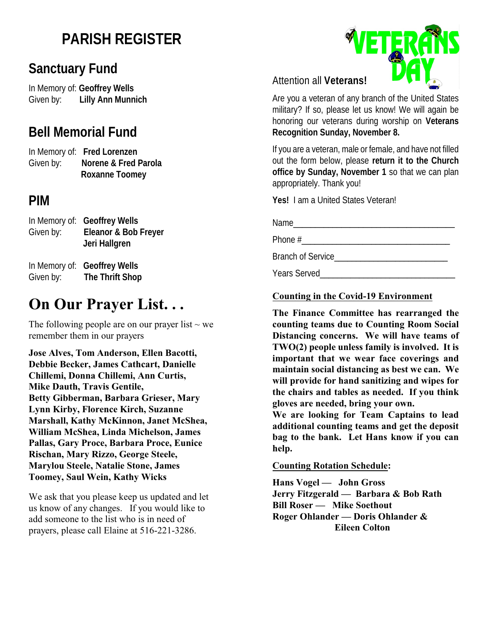# **PARISH REGISTER**

## **Sanctuary Fund**

In Memory of: **Geoffrey Wells** Given by: **Lilly Ann Munnich**

## **Bell Memorial Fund**

In Memory of: **Fred Lorenzen** Given by: **Norene & Fred Parola Roxanne Toomey**

## **PIM**

| Given by: | In Memory of: Geoffrey Wells<br>Eleanor & Bob Freyer<br>Jeri Hallgren |
|-----------|-----------------------------------------------------------------------|
| Given by: | In Memory of: Geoffrey Wells<br>The Thrift Shop                       |

## **On Our Prayer List. . .**

The following people are on our prayer list  $\sim$  we remember them in our prayers

**Jose Alves, Tom Anderson, Ellen Bacotti, Debbie Becker, James Cathcart, Danielle Chillemi, Donna Chillemi, Ann Curtis, Mike Dauth, Travis Gentile, Betty Gibberman, Barbara Grieser, Mary Lynn Kirby, Florence Kirch, Suzanne Marshall, Kathy McKinnon, Janet McShea, William McShea, Linda Michelson, James Pallas, Gary Proce, Barbara Proce, Eunice Rischan, Mary Rizzo, George Steele, Marylou Steele, Natalie Stone, James Toomey, Saul Wein, Kathy Wicks** 

We ask that you please keep us updated and let us know of any changes. If you would like to add someone to the list who is in need of prayers, please call Elaine at 516-221-3286.

### Attention all **Veterans!**

Are you a veteran of any branch of the United States military? If so, please let us know! We will again be honoring our veterans during worship on **Veterans Recognition Sunday, November 8.**

If you are a veteran, male or female, and have not filled out the form below, please **return it to the Church office by Sunday, November 1** so that we can plan appropriately. Thank you!

**Yes!** I am a United States Veteran!

Name\_\_\_\_\_\_\_\_\_\_\_\_\_\_\_\_\_\_\_\_\_\_\_\_\_\_\_\_\_\_\_\_\_\_\_\_\_

Phone #\_\_\_\_\_\_\_\_\_\_\_\_\_\_\_\_\_\_\_\_\_\_\_\_\_\_\_\_\_\_\_\_\_\_

Branch of Service

Years Served

#### **Counting in the Covid-19 Environment**

**The Finance Committee has rearranged the counting teams due to Counting Room Social Distancing concerns. We will have teams of TWO(2) people unless family is involved. It is important that we wear face coverings and maintain social distancing as best we can. We will provide for hand sanitizing and wipes for the chairs and tables as needed. If you think gloves are needed, bring your own.**

**We are looking for Team Captains to lead additional counting teams and get the deposit bag to the bank. Let Hans know if you can help.** 

#### **Counting Rotation Schedule:**

**Hans Vogel — John Gross Jerry Fitzgerald — Barbara & Bob Rath Bill Roser — Mike Soethout Roger Ohlander — Doris Ohlander & Eileen Colton**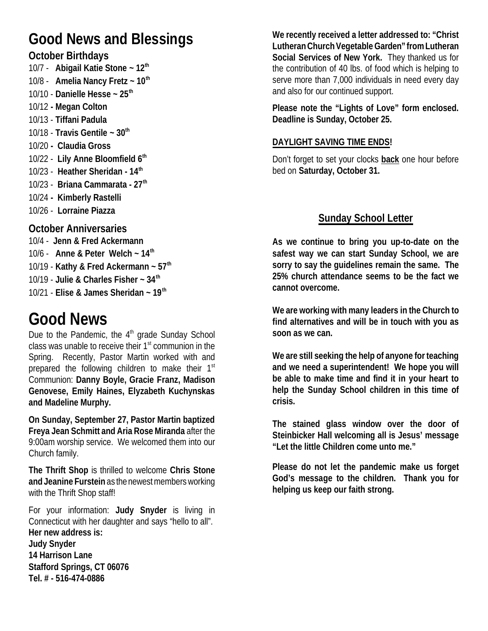# **Good News and Blessings**

### **October Birthdays**

10/7 - **Abigail Katie Stone ~ 12th**  10/8 - **Amelia Nancy Fretz ~ 10th**  10/10 - **Danielle Hesse ~ 25th**  10/12 **- Megan Colton** 10/13 - **Tiffani Padula** 10/18 - **Travis Gentile ~ 30th**  10/20 **- Claudia Gross** 10/22 - **Lily Anne Bloomfield 6th** 10/23 - **Heather Sheridan - 14th** 10/23 - **Briana Cammarata - 27th**  10/24 **- Kimberly Rastelli** 10/26 - **Lorraine Piazza**

### **October Anniversaries**

10/4 - **Jenn & Fred Ackermann** 10/6 - **Anne & Peter Welch ~ 14th**  10/19 - **Kathy & Fred Ackermann ~ 57th**  10/19 - **Julie & Charles Fisher ~ 34th**  10/21 - **Elise & James Sheridan ~ 19th**

# **Good News**

Due to the Pandemic, the 4<sup>th</sup> grade Sunday School class was unable to receive their 1<sup>st</sup> communion in the Spring. Recently, Pastor Martin worked with and prepared the following children to make their 1<sup>st</sup> Communion: **Danny Boyle, Gracie Franz, Madison Genovese, Emily Haines, Elyzabeth Kuchynskas and Madeline Murphy.**

**On Sunday, September 27, Pastor Martin baptized Freya Jean Schmitt and Aria Rose Miranda** after the 9:00am worship service. We welcomed them into our Church family.

**The Thrift Shop** is thrilled to welcome **Chris Stone and Jeanine Furstein** as the newest members working with the Thrift Shop staff!

For your information: **Judy Snyder** is living in Connecticut with her daughter and says "hello to all". **Her new address is: Judy Snyder 14 Harrison Lane**

**Stafford Springs, CT 06076**

**Tel. # - 516-474-0886**

**We recently received a letter addressed to: "Christ Lutheran Church Vegetable Garden" from Lutheran Social Services of New York.** They thanked us for the contribution of 40 lbs. of food which is helping to serve more than 7,000 individuals in need every day and also for our continued support.

**Please note the "Lights of Love" form enclosed. Deadline is Sunday, October 25.**

### **DAYLIGHT SAVING TIME ENDS!**

Don't forget to set your clocks **back** one hour before bed on **Saturday, October 31.** 

## **Sunday School Letter**

**As we continue to bring you up-to-date on the safest way we can start Sunday School, we are sorry to say the guidelines remain the same. The 25% church attendance seems to be the fact we cannot overcome.** 

**We are working with many leaders in the Church to find alternatives and will be in touch with you as soon as we can.** 

**We are still seeking the help of anyone for teaching and we need a superintendent! We hope you will be able to make time and find it in your heart to help the Sunday School children in this time of crisis.** 

**The stained glass window over the door of Steinbicker Hall welcoming all is Jesus' message "Let the little Children come unto me."**

**Please do not let the pandemic make us forget God's message to the children. Thank you for helping us keep our faith strong.**